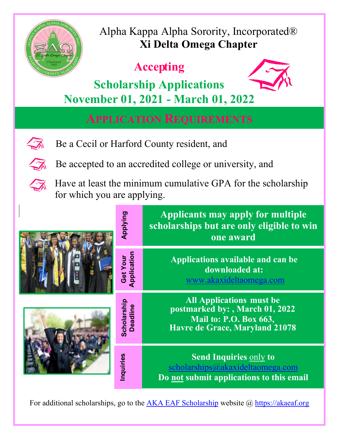

Alpha Kappa Alpha Sorority, Incorporated® **Xi Delta Omega Chapter**

# **Accepting**



**Scholarship Applications November 01, 2021 - March 01, 20[22](https://www.google.com/imgres?imgurl=http://clipart-library.com/data_images/621469.png&imgrefurl=http://clipart-library.com/graduation-cap-cliparts.html&docid=QAz_ITPW641mdM&tbnid=uVqWqKo28wh3zM:&vet=10ahUKEwiw5ZCQ4JzZAhVjc98KHWr0AdAQMwh5KDEwMQ..i&w=600&h=510&bih=708&biw=1438&q=pink%20and%20green%20graduation%20cap&ved=0ahUKEwiw5ZCQ4JzZAhVjc98KHWr0AdAQMwh5KDEwMQ&iact=mrc&uact=8)**

**APPLICATION REQUIREMENTS**

Be a Cecil or Harford County resident, and



Be accepted to an accredited college or university, and

Have at least the minimum cumulative GPA for the scholarship for which you are applying.



For additional scholarships, go to the [AKA EAF Scholarship](https://akaeaf.org/) website  $\omega$  [https://akaeaf.org](https://akaeaf.org/)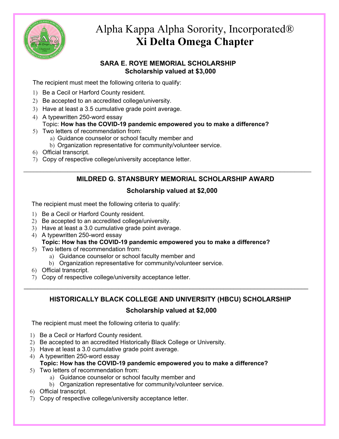

# Alpha Kappa Alpha Sorority, Incorporated® **Xi Delta Omega Chapter**

#### **SARA E. ROYE MEMORIAL SCHOLARSHIP Scholarship valued at \$3,000**

The recipient must meet the following criteria to qualify:

- 1) Be a Cecil or Harford County resident.
- 2) Be accepted to an accredited college/university.
- 3) Have at least a 3.5 cumulative grade point average.
- 4) A typewritten 250-word essay Topic: **How has the COVID-19 pandemic empowered you to make a difference?**
- 5) Two letters of recommendation from:
	- a) Guidance counselor or school faculty member and
	- b) Organization representative for community/volunteer service.
- 6) Official transcript.
- 7) Copy of respective college/university acceptance letter.

### **MILDRED G. STANSBURY MEMORIAL SCHOLARSHIP AWARD**

#### **Scholarship valued at \$2,000**

 $\_$  , and the state of the state of the state of the state of the state of the state of the state of the state of the state of the state of the state of the state of the state of the state of the state of the state of the

The recipient must meet the following criteria to qualify:

- 1) Be a Cecil or Harford County resident.
- 2) Be accepted to an accredited college/university.
- 3) Have at least a 3.0 cumulative grade point average.
- 4) A typewritten 250-word essay **Topic: How has the COVID-19 pandemic empowered you to make a difference?**
- 5) Two letters of recommendation from:
	- a) Guidance counselor or school faculty member and
	- b) Organization representative for community/volunteer service.
- 6) Official transcript.
- 7) Copy of respective college/university acceptance letter.

## **HISTORICALLY BLACK COLLEGE AND UNIVERSITY (HBCU) SCHOLARSHIP**

 $\_$  , and the set of the set of the set of the set of the set of the set of the set of the set of the set of the set of the set of the set of the set of the set of the set of the set of the set of the set of the set of th

#### **Scholarship valued at \$2,000**

The recipient must meet the following criteria to qualify:

- 1) Be a Cecil or Harford County resident.
- 2) Be accepted to an accredited Historically Black College or University.
- 3) Have at least a 3.0 cumulative grade point average.
- 4) A typewritten 250-word essay  **Topic: How has the COVID-19 pandemic empowered you to make a difference?**
- 5) Two letters of recommendation from:
	- a) Guidance counselor or school faculty member and
	- b) Organization representative for community/volunteer service.
- 6) Official transcript.
- 7) Copy of respective college/university acceptance letter.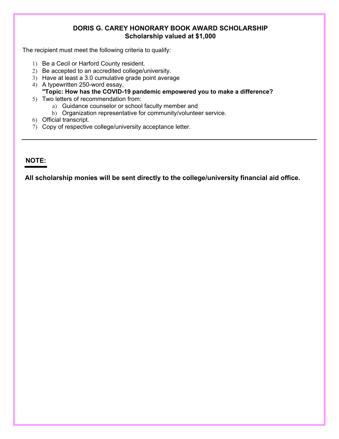#### **DORIS G. CAREY HONORARY BOOK AWARD SCHOLARSHIP Scholarship valued at \$1,000**

The recipient must meet the following criteria to qualify:

- 1) Be a Cecil or Harford County resident.
- 2) Be accepted to an accredited college/university.
- 3) Have at least a 3.0 cumulative grade point average
- 4) A typewritten 250-word essay, **"Topic: How has the COVID-19 pandemic empowered you to make a difference?**
- 5) Two letters of recommendation from:
	- a) Guidance counselor or school faculty member and
	- b) Organization representative for community/volunteer service.
- 6) Official transcript.
- 7) Copy of respective college/university acceptance letter.

#### **NOTE:**

**All scholarship monies will be sent directly to the college/university financial aid office.**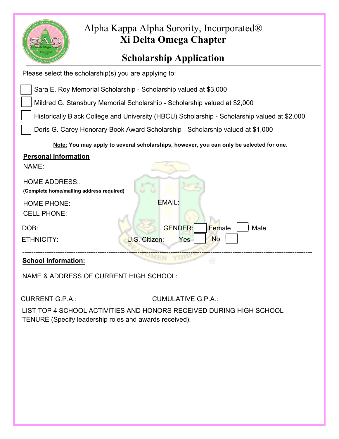| ENPEA ALPHA SORORIA                            |  |
|------------------------------------------------|--|
|                                                |  |
| atta Omega Chapter<br>TRESCRIPTION OF THE MANY |  |
|                                                |  |

## Alpha Kappa Alpha Sorority, Incorporated® **Xi Delta Omega Chapter**

# **Scholarship Application**

Please select the scholarship(s) you are applying to:

| Sara E. Roy Memorial Scholarship - Scholarship valued at \$3,000 |  |
|------------------------------------------------------------------|--|
|------------------------------------------------------------------|--|

Mildred G. Stansbury Memorial Scholarship - Scholarship valued at \$2,000

Historically Black College and University (HBCU) Scholarship - Scholarship valued at \$2,000

Doris G. Carey Honorary Book Award Scholarship - Scholarship valued at \$1,000

**Note: You may apply to several scholarships, however, you can only be selected for one.**

| <b>Personal Information</b>                                       |                                                 |
|-------------------------------------------------------------------|-------------------------------------------------|
| NAME:                                                             |                                                 |
| <b>HOME ADDRESS:.</b><br>(Complete home/mailing address required) |                                                 |
| <b>HOME PHONE:</b>                                                | EMAIL:                                          |
| <b>CELL PHONE:</b>                                                |                                                 |
| DOB:                                                              | <b>GENDER:</b><br><b>Female</b><br>Male         |
| ETHNICITY:                                                        | <b>No</b><br><b>U.S. Citizen:</b><br><b>Yes</b> |
|                                                                   |                                                 |
| Oakaal lafamaattan                                                |                                                 |

### **School Information:**

NAME & ADDRESS OF CURRENT HIGH SCHOOL:

CURRENT G.P.A.: CUMULATIVE G.P.A.:

LIST TOP 4 SCHOOL ACTIVITIES AND HONORS RECEIVED DURING HIGH SCHOOL TENURE (Specify leadership roles and awards received).